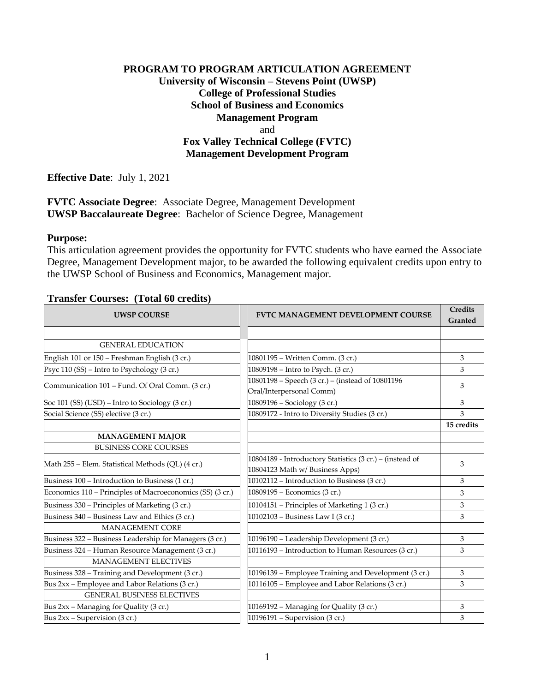### **PROGRAM TO PROGRAM ARTICULATION AGREEMENT University of Wisconsin – Stevens Point (UWSP) College of Professional Studies School of Business and Economics Management Program** and **Fox Valley Technical College (FVTC) Management Development Program**

**Effective Date**: July 1, 2021

**FVTC Associate Degree**: Associate Degree, Management Development **UWSP Baccalaureate Degree**: Bachelor of Science Degree, Management

#### **Purpose:**

This articulation agreement provides the opportunity for FVTC students who have earned the Associate Degree, Management Development major, to be awarded the following equivalent credits upon entry to the UWSP School of Business and Economics, Management major.

| <b>UWSP COURSE</b>                                        | <b>FVTC MANAGEMENT DEVELOPMENT COURSE</b>                                                  | <b>Credits</b><br>Granted |
|-----------------------------------------------------------|--------------------------------------------------------------------------------------------|---------------------------|
|                                                           |                                                                                            |                           |
| <b>GENERAL EDUCATION</b>                                  |                                                                                            |                           |
| English 101 or 150 - Freshman English (3 cr.)             | 10801195 - Written Comm. (3 cr.)                                                           | 3                         |
| Psyc 110 (SS) - Intro to Psychology (3 cr.)               | 10809198 - Intro to Psych. (3 cr.)                                                         | 3                         |
| Communication 101 - Fund. Of Oral Comm. (3 cr.)           | 10801198 - Speech (3 cr.) - (instead of 10801196<br>Oral/Interpersonal Comm)               | 3                         |
| Soc 101 (SS) (USD) – Intro to Sociology (3 cr.)           | 10809196 - Sociology (3 cr.)                                                               | 3                         |
| Social Science (SS) elective (3 cr.)                      | 10809172 - Intro to Diversity Studies (3 cr.)                                              | 3                         |
|                                                           |                                                                                            | 15 credits                |
| <b>MANAGEMENT MAJOR</b>                                   |                                                                                            |                           |
| <b>BUSINESS CORE COURSES</b>                              |                                                                                            |                           |
| Math 255 – Elem. Statistical Methods (QL) (4 cr.)         | 10804189 - Introductory Statistics (3 cr.) – (instead of<br>10804123 Math w/Business Apps) | 3                         |
| Business 100 – Introduction to Business (1 cr.)           | 10102112 – Introduction to Business (3 cr.)                                                | 3                         |
| Economics 110 – Principles of Macroeconomics (SS) (3 cr.) | 10809195 – Economics (3 cr.)                                                               | 3                         |
| Business 330 - Principles of Marketing (3 cr.)            | 10104151 – Principles of Marketing 1 (3 cr.)                                               | 3                         |
| Business 340 - Business Law and Ethics (3 cr.)            | 10102103 – Business Law I (3 cr.)                                                          | 3                         |
| <b>MANAGEMENT CORE</b>                                    |                                                                                            |                           |
| Business 322 - Business Leadership for Managers (3 cr.)   | 10196190 - Leadership Development (3 cr.)                                                  | 3                         |
| Business 324 - Human Resource Management (3 cr.)          | 10116193 – Introduction to Human Resources (3 cr.)                                         | 3                         |
| <b>MANAGEMENT ELECTIVES</b>                               |                                                                                            |                           |
| Business 328 - Training and Development (3 cr.)           | 10196139 – Employee Training and Development (3 cr.)                                       | 3                         |
| Bus 2xx - Employee and Labor Relations (3 cr.)            | 10116105 - Employee and Labor Relations (3 cr.)                                            | 3                         |
| <b>GENERAL BUSINESS ELECTIVES</b>                         |                                                                                            |                           |
| Bus 2xx - Managing for Quality (3 cr.)                    | 10169192 - Managing for Quality (3 cr.)                                                    | 3                         |
| Bus $2xx$ – Supervision (3 cr.)                           | 10196191 - Supervision (3 cr.)                                                             | 3                         |

#### **Transfer Courses: (Total 60 credits)**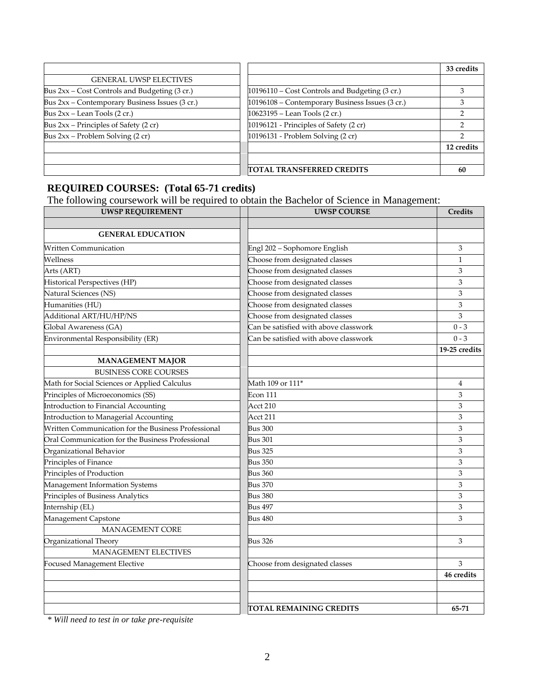|                                                 |                                                 | 33 credits |
|-------------------------------------------------|-------------------------------------------------|------------|
| <b>GENERAL UWSP ELECTIVES</b>                   |                                                 |            |
| Bus $2xx$ – Cost Controls and Budgeting (3 cr.) | 10196110 - Cost Controls and Budgeting (3 cr.)  |            |
| Bus 2xx - Contemporary Business Issues (3 cr.)  | 10196108 - Contemporary Business Issues (3 cr.) |            |
| Bus $2xx$ – Lean Tools (2 cr.)                  | 10623195 - Lean Tools (2 cr.)                   |            |
| Bus $2xx$ – Principles of Safety (2 cr)         | 10196121 - Principles of Safety (2 cr)          |            |
| Bus $2xx$ – Problem Solving (2 cr)              | 10196131 - Problem Solving (2 cr)               |            |
|                                                 |                                                 | 12 credits |
|                                                 |                                                 |            |
|                                                 | <b>ITOTAL TRANSFERRED CREDITS</b>               | 60         |

# **REQUIRED COURSES: (Total 65-71 credits)**

The following coursework will be required to obtain the Bachelor of Science in Management:

| <b>UWSP REQUIREMENT</b>                             | <b>UWSP COURSE</b>                    | Credits       |
|-----------------------------------------------------|---------------------------------------|---------------|
|                                                     |                                       |               |
| <b>GENERAL EDUCATION</b>                            |                                       |               |
| <b>Written Communication</b>                        | Engl 202 - Sophomore English          | 3             |
| Wellness                                            | Choose from designated classes        | $\mathbf{1}$  |
| Arts (ART)                                          | Choose from designated classes        | 3             |
| Historical Perspectives (HP)                        | Choose from designated classes        | 3             |
| Natural Sciences (NS)                               | Choose from designated classes        | 3             |
| Humanities (HU)                                     | Choose from designated classes        | 3             |
| Additional ART/HU/HP/NS                             | Choose from designated classes        | 3             |
| Global Awareness (GA)                               | Can be satisfied with above classwork | $0 - 3$       |
| Environmental Responsibility (ER)                   | Can be satisfied with above classwork | $0 - 3$       |
|                                                     |                                       | 19-25 credits |
| <b>MANAGEMENT MAJOR</b>                             |                                       |               |
| <b>BUSINESS CORE COURSES</b>                        |                                       |               |
| Math for Social Sciences or Applied Calculus        | Math 109 or 111 <sup>*</sup>          | 4             |
| Principles of Microeconomics (SS)                   | <b>Econ 111</b>                       | 3             |
| Introduction to Financial Accounting                | Acct 210                              | 3             |
| Introduction to Managerial Accounting               | Acct 211                              | 3             |
| Written Communication for the Business Professional | <b>Bus 300</b>                        | 3             |
| Oral Communication for the Business Professional    | <b>Bus 301</b>                        | 3             |
| Organizational Behavior                             | <b>Bus 325</b>                        | 3             |
| Principles of Finance                               | <b>Bus 350</b>                        | 3             |
| Principles of Production                            | Bus 360                               | 3             |
| Management Information Systems                      | <b>Bus 370</b>                        | 3             |
| Principles of Business Analytics                    | <b>Bus 380</b>                        | 3             |
| Internship (EL)                                     | Bus 497                               | 3             |
| Management Capstone                                 | <b>Bus 480</b>                        | 3             |
| <b>MANAGEMENT CORE</b>                              |                                       |               |
| Organizational Theory                               | <b>Bus 326</b>                        | 3             |
| <b>MANAGEMENT ELECTIVES</b>                         |                                       |               |
| Focused Management Elective                         | Choose from designated classes        | 3             |
|                                                     |                                       | 46 credits    |
|                                                     |                                       |               |
|                                                     |                                       |               |
|                                                     | <b>TOTAL REMAINING CREDITS</b>        | 65-71         |

*\* Will need to test in or take pre-requisite*